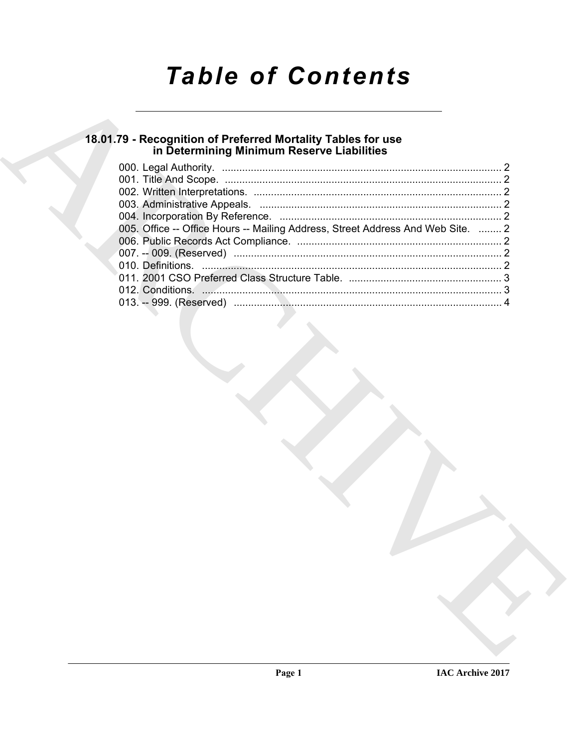# **Table of Contents**

# 18.01.79 - Recognition of Preferred Mortality Tables for use<br>in Determining Minimum Reserve Liabilities

| 005. Office -- Office Hours -- Mailing Address, Street Address And Web Site.  2 |  |
|---------------------------------------------------------------------------------|--|
|                                                                                 |  |
|                                                                                 |  |
|                                                                                 |  |
|                                                                                 |  |
|                                                                                 |  |
|                                                                                 |  |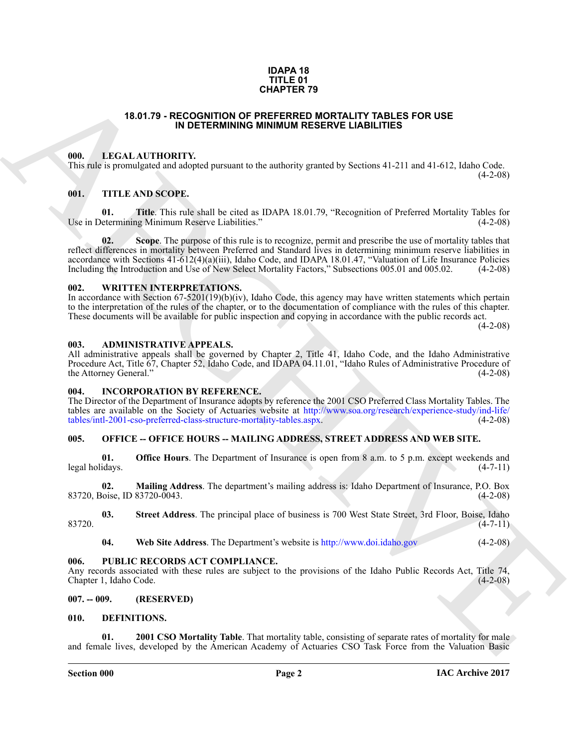#### **IDAPA 18 TITLE 01 CHAPTER 79**

#### **18.01.79 - RECOGNITION OF PREFERRED MORTALITY TABLES FOR USE IN DETERMINING MINIMUM RESERVE LIABILITIES**

### <span id="page-1-1"></span><span id="page-1-0"></span>**000. LEGAL AUTHORITY.**

This rule is promulgated and adopted pursuant to the authority granted by Sections 41-211 and 41-612, Idaho Code.

 $(4-2-08)$ 

# <span id="page-1-2"></span>**001. TITLE AND SCOPE.**

**01. Title**. This rule shall be cited as IDAPA 18.01.79, "Recognition of Preferred Mortality Tables for Use in Determining Minimum Reserve Liabilities."

**18.61.79** - **RECOGNITION OF REFERENCE TAIL INTERESTS OR USE**<br> **(iii)** - IFACTA AND SCOPE (1986) CONFIDENTIES CONFIDENTIES FOR USE (1986)<br>
THE ARC[HI](http://www.soa.org/research/experience-study/ind-life/tables/intl-2001-cso-preferred-class-structure-mortality-tables.aspx)[V](http://www.doi.idaho.gov)E CONFIDENTIES (2007)<br>
THE ARCHIVE CONFIDENTIES (2007)<br>
THE ARCHIVE CONF **02.** Scope. The purpose of this rule is to recognize, permit and prescribe the use of mortality tables that reflect differences in mortality between Preferred and Standard lives in determining minimum reserve liabilities in accordance with Sections  $41-612(4)(a)(iii)$ , Idaho Code, and IDAPA 18.01.47, "Valuation of Life Insurance Policies Including the Introduction and Use of New Select Mortality Factors." Subsections 005.01 and 005.02. (4-2-08) Including the Introduction and Use of New Select Mortality Factors," Subsections 005.01 and 005.02.

#### <span id="page-1-3"></span>**002. WRITTEN INTERPRETATIONS.**

In accordance with Section 67-5201(19)(b)(iv), Idaho Code, this agency may have written statements which pertain to the interpretation of the rules of the chapter, or to the documentation of compliance with the rules of this chapter. These documents will be available for public inspection and copying in accordance with the public records act.

 $(4-2-08)$ 

#### <span id="page-1-4"></span>**003. ADMINISTRATIVE APPEALS.**

All administrative appeals shall be governed by Chapter 2, Title 41, Idaho Code, and the Idaho Administrative Procedure Act, Title 67, Chapter 52, Idaho Code, and IDAPA 04.11.01, "Idaho Rules of Administrative Procedure of the Attorney General." (4-2-08)

#### <span id="page-1-5"></span>**004. INCORPORATION BY REFERENCE.**

The Director of the Department of Insurance adopts by reference the 2001 CSO Preferred Class Mortality Tables. The tables are available on the Society of Actuaries website at http://www.soa.org/research/experience-study/ind-life/<br>tables/intl-2001-cso-preferred-class-structure-mortality-tables.aspx. (4-2-08) tables/intl-2001-cso-preferred-class-structure-mortality-tables.aspx.

# <span id="page-1-6"></span>**005. OFFICE -- OFFICE HOURS -- MAILING ADDRESS, STREET ADDRESS AND WEB SITE.**

**01. Office Hours**. The Department of Insurance is open from 8 a.m. to 5 p.m. except weekends and legal holidays. (4-7-11)

**02. Mailing Address**. The department's mailing address is: Idaho Department of Insurance, P.O. Box 83720, Boise, ID 83720-0043. (4-2-08)

**03.** Street Address. The principal place of business is 700 West State Street, 3rd Floor, Boise, Idaho (4-7-11)  $83720.$  (4-7-11)

**04. Web Site Address**. The Department's website is http://www.doi.idaho.gov (4-2-08)

#### <span id="page-1-7"></span>**006. PUBLIC RECORDS ACT COMPLIANCE.**

Any records associated with these rules are subject to the provisions of the Idaho Public Records Act, Title 74, Chapter 1. Idaho Code. (4-2-08) Chapter 1, Idaho Code.

#### <span id="page-1-8"></span>**007. -- 009. (RESERVED)**

#### <span id="page-1-10"></span><span id="page-1-9"></span>**010. DEFINITIONS.**

<span id="page-1-11"></span>**2001 CSO Mortality Table**. That mortality table, consisting of separate rates of mortality for male and female lives, developed by the American Academy of Actuaries CSO Task Force from the Valuation Basic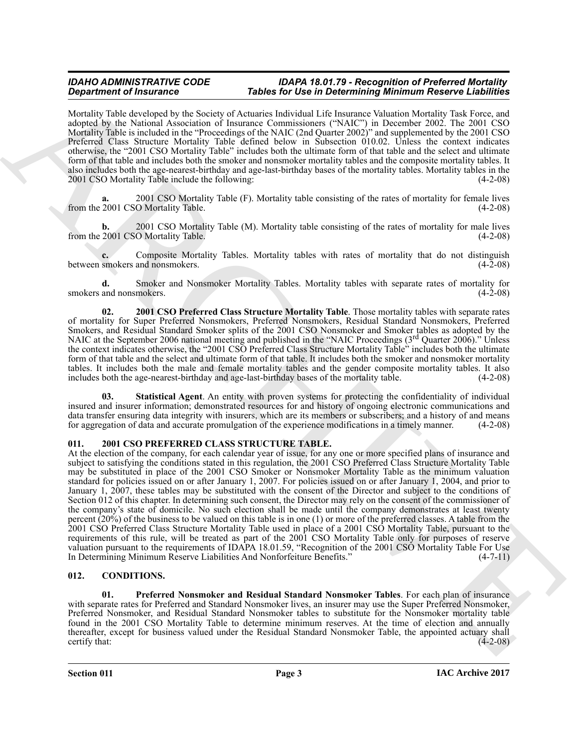# *IDAHO ADMINISTRATIVE CODE IDAPA 18.01.79 - Recognition of Preferred Mortality*  **Tables for Use in Determining Minimum Reserve Liabilities**

Mortality Table developed by the Society of Actuaries Individual Life Insurance Valuation Mortality Task Force, and adopted by the National Association of Insurance Commissioners ("NAIC") in December 2002. The 2001 CSO Mortality Table is included in the "Proceedings of the NAIC (2nd Quarter 2002)" and supplemented by the 2001 CSO Preferred Class Structure Mortality Table defined below in Subsection 010.02. Unless the context indicates otherwise, the "2001 CSO Mortality Table" includes both the ultimate form of that table and the select and ultimate form of that table and includes both the smoker and nonsmoker mortality tables and the composite mortality tables. It also includes both the age-nearest-birthday and age-last-birthday bases of the mortality tables. Mortality tables in the 2001 CSO Mortality Table include the following: (4-2-08) (4-2-08)

<span id="page-2-5"></span>**a.** 2001 CSO Mortality Table (F). Mortality table consisting of the rates of mortality for female lives from the 2001 CSO Mortality Table. (4-2-08)

<span id="page-2-6"></span>**b.** 2001 CSO Mortality Table (M). Mortality table consisting of the rates of mortality for male lives 2001 CSO Mortality Table. (4-2-08) from the 2001 CSO Mortality Table.

<span id="page-2-4"></span>**c.** Composite Mortality Tables. Mortality tables with rates of mortality that do not distinguish smokers and nonsmokers. (4-2-08) between smokers and nonsmokers.

<span id="page-2-8"></span>**d.** Smoker and Nonsmoker Mortality Tables. Mortality tables with separate rates of mortality for smokers and nonsmokers.

<span id="page-2-7"></span>**02. 2001 CSO Preferred Class Structure Mortality Table**. Those mortality tables with separate rates of mortality for Super Preferred Nonsmokers, Preferred Nonsmokers, Residual Standard Nonsmokers, Preferred Smokers, and Residual Standard Smoker splits of the 2001 CSO Nonsmoker and Smoker tables as adopted by the NAIC at the September 2006 national meeting and published in the "NAIC Proceedings (3<sup>rd</sup> Quarter 2006)." Unless the context indicates otherwise, the "2001 CSO Preferred Class Structure Mortality Table" includes both the ultimate form of that table and the select and ultimate form of that table. It includes both the smoker and nonsmoker mortality tables. It includes both the male and female mortality tables and the gender composite mortality tables. It also includes both the age-nearest-birthday and age-last-birthday bases of the mortality table. (4-2-08) includes both the age-nearest-birthday and age-last-birthday bases of the mortality table.

<span id="page-2-9"></span>**Statistical Agent**. An entity with proven systems for protecting the confidentiality of individual insured and insurer information; demonstrated resources for and history of ongoing electronic communications and data transfer ensuring data integrity with insurers, which are its members or subscribers; and a history of and means for aggregation of data and accurate promulgation of the experience modifications in a timely manner. (4-2-08)

# <span id="page-2-10"></span><span id="page-2-0"></span>**011. 2001 CSO PREFERRED CLASS STRUCTURE TABLE.**

**Experimental Theorems** of Theorems (Theorems Theorems Contenting Minimum Reason in the content of the content of the content of the content of the content of the content of the content of the content of the content of th At the election of the company, for each calendar year of issue, for any one or more specified plans of insurance and subject to satisfying the conditions stated in this regulation, the 2001 CSO Preferred Class Structure Mortality Table may be substituted in place of the 2001 CSO Smoker or Nonsmoker Mortality Table as the minimum valuation standard for policies issued on or after January 1, 2007. For policies issued on or after January 1, 2004, and prior to January 1, 2007, these tables may be substituted with the consent of the Director and subject to the conditions of Section 012 of this chapter. In determining such consent, the Director may rely on the consent of the commissioner of the company's state of domicile. No such election shall be made until the company demonstrates at least twenty percent (20%) of the business to be valued on this table is in one (1) or more of the preferred classes. A table from the 2001 CSO Preferred Class Structure Mortality Table used in place of a 2001 CSO Mortality Table, pursuant to the requirements of this rule, will be treated as part of the 2001 CSO Mortality Table only for purposes of reserve valuation pursuant to the requirements of IDAPA 18.01.59, "Recognition of the 2001 CSO Mortality Table For Use In Determining Minimum Reserve Liabilities And Nonforfeiture Benefits." (4-7-11)

# <span id="page-2-2"></span><span id="page-2-1"></span>**012. CONDITIONS.**

<span id="page-2-3"></span>**01. Preferred Nonsmoker and Residual Standard Nonsmoker Tables**. For each plan of insurance with separate rates for Preferred and Standard Nonsmoker lives, an insurer may use the Super Preferred Nonsmoker, Preferred Nonsmoker, and Residual Standard Nonsmoker tables to substitute for the Nonsmoker mortality table found in the 2001 CSO Mortality Table to determine minimum reserves. At the time of election and annually thereafter, except for business valued under the Residual Standard Nonsmoker Table, the appointed actuary shall certify that:  $(4-2-08)$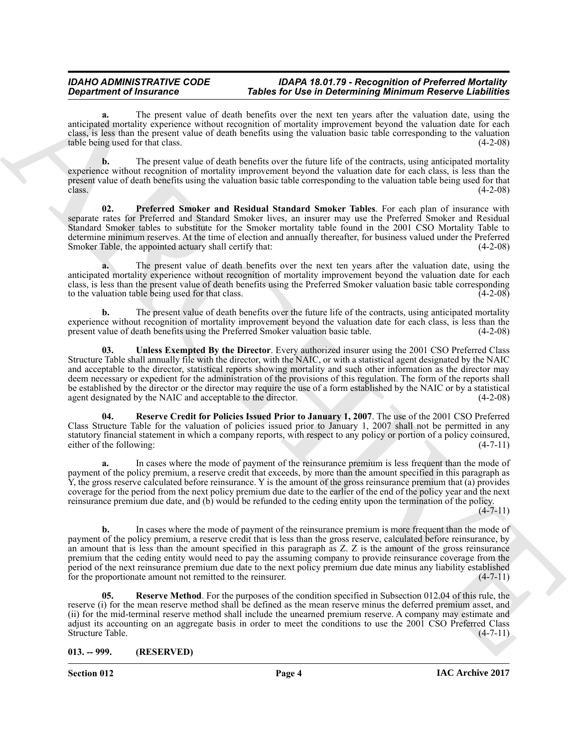### *IDAHO ADMINISTRATIVE CODE IDAPA 18.01.79 - Recognition of Preferred Mortality*  **Tables for Use in Determining Minimum Reserve Liabilities**

**a.** The present value of death benefits over the next ten years after the valuation date, using the anticipated mortality experience without recognition of mortality improvement beyond the valuation date for each class, is less than the present value of death benefits using the valuation basic table corresponding to the valuation table being used for that class.

**b.** The present value of death benefits over the future life of the contracts, using anticipated mortality experience without recognition of mortality improvement beyond the valuation date for each class, is less than the present value of death benefits using the valuation basic table corresponding to the valuation table being used for that class.  $\frac{1}{4-2-08}$  (4-2-08)

<span id="page-3-1"></span>**02. Preferred Smoker and Residual Standard Smoker Tables**. For each plan of insurance with separate rates for Preferred and Standard Smoker lives, an insurer may use the Preferred Smoker and Residual Standard Smoker tables to substitute for the Smoker mortality table found in the 2001 CSO Mortality Table to determine minimum reserves. At the time of election and annually thereafter, for business valued under the Preferred Smoker Table, the appointed actuary shall certify that: (4-2-08)

**a.** The present value of death benefits over the next ten years after the valuation date, using the anticipated mortality experience without recognition of mortality improvement beyond the valuation date for each class, is less than the present value of death benefits using the Preferred Smoker valuation basic table corresponding to the valuation table being used for that class.

<span id="page-3-4"></span>**b.** The present value of death benefits over the future life of the contracts, using anticipated mortality experience without recognition of mortality improvement beyond the valuation date for each class, is less than the present value of death benefits using the Preferred Smoker valuation basic table. (4-2-08) present value of death benefits using the Preferred Smoker valuation basic table.

**Department of Transmission Constraints Theodore Constraints of the internalistic state in the constraint of the constraints of the internal methodole and the constraints of the constraints of the constraints of the const 03. Unless Exempted By the Director**. Every authorized insurer using the 2001 CSO Preferred Class Structure Table shall annually file with the director, with the NAIC, or with a statistical agent designated by the NAIC and acceptable to the director, statistical reports showing mortality and such other information as the director may deem necessary or expedient for the administration of the provisions of this regulation. The form of the reports shall be established by the director or the director may require the use of a form established by the NAIC or by a statistical agent designated by the NAIC and acceptable to the director. (4-2-08) agent designated by the NAIC and acceptable to the director.

<span id="page-3-2"></span>**04. Reserve Credit for Policies Issued Prior to January 1, 2007**. The use of the 2001 CSO Preferred Class Structure Table for the valuation of policies issued prior to January 1, 2007 shall not be permitted in any statutory financial statement in which a company reports, with respect to any policy or portion of a policy coinsured, either of the following: (4-7-11)

**a.** In cases where the mode of payment of the reinsurance premium is less frequent than the mode of payment of the policy premium, a reserve credit that exceeds, by more than the amount specified in this paragraph as Y, the gross reserve calculated before reinsurance. Y is the amount of the gross reinsurance premium that (a) provides coverage for the period from the next policy premium due date to the earlier of the end of the policy year and the next reinsurance premium due date, and (b) would be refunded to the ceding entity upon the termination of the policy.  $(4 - 7 - 11)$ 

**b.** In cases where the mode of payment of the reinsurance premium is more frequent than the mode of payment of the policy premium, a reserve credit that is less than the gross reserve, calculated before reinsurance, by an amount that is less than the amount specified in this paragraph as Z. Z is the amount of the gross reinsurance premium that the ceding entity would need to pay the assuming company to provide reinsurance coverage from the period of the next reinsurance premium due date to the next policy premium due date minus any liability established for the proportionate amount not remitted to the reinsurer. (4-7-11)

<span id="page-3-3"></span>**05. Reserve Method**. For the purposes of the condition specified in Subsection 012.04 of this rule, the reserve (i) for the mean reserve method shall be defined as the mean reserve minus the deferred premium asset, and (ii) for the mid-terminal reserve method shall include the unearned premium reserve. A company may estimate and adjust its accounting on an aggregate basis in order to meet the conditions to use the 2001 CSO Preferred Class Structure Table. (4-7-11) Structure Table.

<span id="page-3-0"></span>**013. -- 999. (RESERVED)**

**Section 012 Page 4**